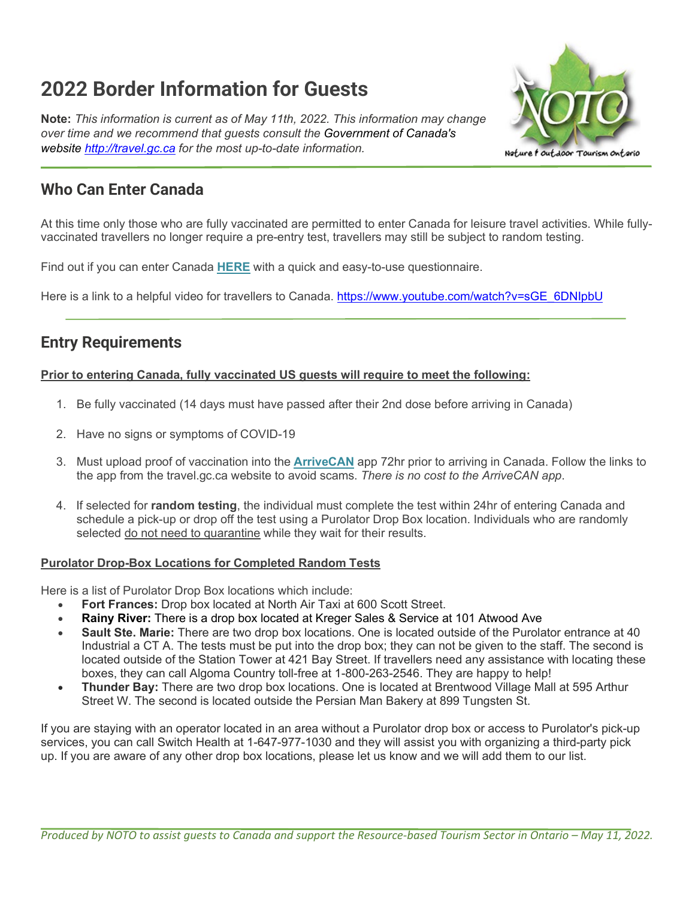# **2022 Border Information for Guests**

**Note:** *This information is current as of May 11th, 2022. This information may change over time and we recommend that guests consult the Government of Canada's website [http://travel.gc.ca](http://travel.gc.ca/) for the most up-to-date information.*



### **Who Can Enter Canada**

At this time only those who are fully vaccinated are permitted to enter Canada for leisure travel activities. While fullyvaccinated travellers no longer require a pre-entry test, travellers may still be subject to random testing.

Find out if you can enter Canada **[HERE](https://r20.rs6.net/tn.jsp?f=001i5uLgbZd8oTuiiANh3lwu4_jboL5Gr2RNs4HZ3ZzW4jVYIHEwCJWZmy6jGKFH-O0vWAvj6U_xg8kU2cDK38LfYeQwKKvtP1GYROxWzoVAP7iPIdeuOVOCCQF3LAfrvV9u1DqwOiXP2jpkkODY7NzBASdDK-uWxAI1i-gIWrBD1pHKIIqdmiXuCdaJGMQYjcdre2PGO0kQQU=&c=udqiZzC0lhh0McNkuufWT87L9SLFJXBHY47SJdU5dbPpkEorj30c-g==&ch=uS1R3GEz67QpRRCs5m6lsvKvdrU7LHcWOFkXbzwUZc2qFk05K65qFw==)** with a quick and easy-to-use questionnaire.

Here is a link to a helpful video for travellers to Canada. [https://www.youtube.com/watch?v=sGE\\_6DNIpbU](https://www.youtube.com/watch?v=sGE_6DNIpbU)

## **Entry Requirements**

### **Prior to entering Canada, fully vaccinated US guests will require to meet the following:**

- 1. Be fully vaccinated (14 days must have passed after their 2nd dose before arriving in Canada)
- 2. Have no signs or symptoms of COVID-19
- 3. Must upload proof of vaccination into the **[ArriveCAN](https://r20.rs6.net/tn.jsp?f=001i5uLgbZd8oTuiiANh3lwu4_jboL5Gr2RNs4HZ3ZzW4jVYIHEwCJWZgUTmXOVvQubaq_Q9iqNPbIqt-LBZviyLcpAP4iKc7BtVDUUYVccTTyFMPqarHv-47TnmT_RYpuMbH-2JIbyIggbJSILpQIttGMMskiC_h3ITddXAx99i_9D0MUgJYyWuLgVVpnTCfm4xYnWdrU8YQuoU5e8ySFJC3Yvc7tkuYFi8FHjC5Os1O20ddbl6OAjKjYBsMwAbvYe&c=udqiZzC0lhh0McNkuufWT87L9SLFJXBHY47SJdU5dbPpkEorj30c-g==&ch=uS1R3GEz67QpRRCs5m6lsvKvdrU7LHcWOFkXbzwUZc2qFk05K65qFw==)** app 72hr prior to arriving in Canada. Follow the links to the app from the travel.gc.ca website to avoid scams. *There is no cost to the ArriveCAN app*.
- 4. If selected for **random testing**, the individual must complete the test within 24hr of entering Canada and schedule a pick-up or drop off the test using a Purolator Drop Box location. Individuals who are randomly selected do not need to quarantine while they wait for their results.

#### **Purolator Drop-Box Locations for Completed Random Tests**

Here is a list of Purolator Drop Box locations which include:

- **Fort Frances:** Drop box located at North Air Taxi at 600 Scott Street.
- **Rainy River:** There is a drop box located at Kreger Sales & Service at 101 Atwood Ave
- **Sault Ste. Marie:** There are two drop box locations. One is located outside of the Purolator entrance at 40 Industrial a CT A. The tests must be put into the drop box; they can not be given to the staff. The second is located outside of the Station Tower at 421 Bay Street. If travellers need any assistance with locating these boxes, they can call Algoma Country toll-free at 1-800-263-2546. They are happy to help!
- **Thunder Bay:** There are two drop box locations. One is located at Brentwood Village Mall at 595 Arthur Street W. The second is located outside the Persian Man Bakery at 899 Tungsten St.

If you are staying with an operator located in an area without a Purolator drop box or access to Purolator's pick-up services, you can call Switch Health at 1-647-977-1030 and they will assist you with organizing a third-party pick up. If you are aware of any other drop box locations, please let us know and we will add them to our list.